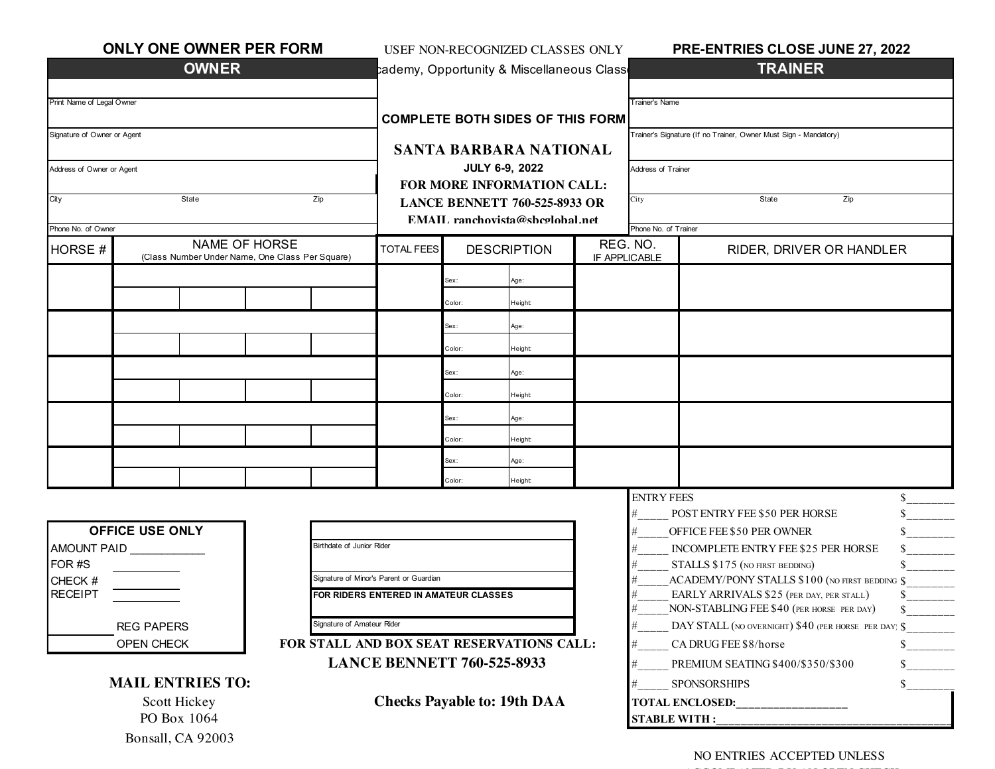| <b>ONLY ONE OWNER PER FORM</b>             | USEF NON-RECOGNIZED CLASSES ONLY                                         |                                                     |                                         |        | PRE-ENTRIES CLOSE JUNE 27, 2022                                  |                                                                                                   |                                                |                                                |  |
|--------------------------------------------|--------------------------------------------------------------------------|-----------------------------------------------------|-----------------------------------------|--------|------------------------------------------------------------------|---------------------------------------------------------------------------------------------------|------------------------------------------------|------------------------------------------------|--|
|                                            | <b>OWNER</b>                                                             |                                                     |                                         |        | cademy, Opportunity & Miscellaneous Class                        |                                                                                                   |                                                | <b>TRAINER</b>                                 |  |
|                                            |                                                                          |                                                     |                                         |        |                                                                  |                                                                                                   | <b>Trainer's Name</b>                          |                                                |  |
| Print Name of Legal Owner                  | <b>COMPLETE BOTH SIDES OF THIS FORM</b><br><b>SANTA BARBARA NATIONAL</b> |                                                     |                                         |        | Frainer's Signature (If no Trainer, Owner Must Sign - Mandatory) |                                                                                                   |                                                |                                                |  |
| Signature of Owner or Agent                |                                                                          |                                                     |                                         |        |                                                                  |                                                                                                   |                                                |                                                |  |
|                                            |                                                                          |                                                     |                                         |        |                                                                  |                                                                                                   |                                                |                                                |  |
| Address of Owner or Agent                  |                                                                          | <b>JULY 6-9, 2022</b><br>FOR MORE INFORMATION CALL: |                                         |        |                                                                  | Address of Trainer                                                                                |                                                |                                                |  |
| City<br>State<br>Zip                       |                                                                          |                                                     | <b>LANCE BENNETT 760-525-8933 OR</b>    |        |                                                                  |                                                                                                   | City                                           | Zip<br>State                                   |  |
|                                            |                                                                          |                                                     | EMAIL ranchovista@shcolohal.net         |        |                                                                  |                                                                                                   | Phone No. of Trainer                           |                                                |  |
| Phone No. of Owner<br><b>NAME OF HORSE</b> |                                                                          |                                                     | <b>DESCRIPTION</b><br><b>TOTAL FEES</b> |        |                                                                  |                                                                                                   | REG. NO.                                       |                                                |  |
| <b>HORSE#</b>                              | (Class Number Under Name, One Class Per Square)                          |                                                     |                                         |        |                                                                  |                                                                                                   | IF APPLICABLE                                  | RIDER, DRIVER OR HANDLER                       |  |
|                                            |                                                                          |                                                     |                                         | Зех:   | Age:                                                             |                                                                                                   |                                                |                                                |  |
|                                            |                                                                          |                                                     |                                         | Color: | Height                                                           |                                                                                                   |                                                |                                                |  |
|                                            |                                                                          |                                                     |                                         | Sex:   | Age:                                                             |                                                                                                   |                                                |                                                |  |
|                                            |                                                                          |                                                     |                                         | Color: | Height                                                           |                                                                                                   |                                                |                                                |  |
|                                            |                                                                          |                                                     |                                         | Sex:   | Age:                                                             |                                                                                                   |                                                |                                                |  |
|                                            |                                                                          |                                                     |                                         | Color: | Height                                                           |                                                                                                   |                                                |                                                |  |
|                                            |                                                                          |                                                     |                                         | Sex:   | Age:                                                             |                                                                                                   |                                                |                                                |  |
|                                            |                                                                          |                                                     |                                         | Color: | Height                                                           |                                                                                                   |                                                |                                                |  |
|                                            |                                                                          |                                                     |                                         | Sex:   | Age:                                                             |                                                                                                   |                                                |                                                |  |
|                                            |                                                                          |                                                     |                                         | Color: | Height                                                           |                                                                                                   |                                                |                                                |  |
|                                            |                                                                          |                                                     |                                         |        |                                                                  |                                                                                                   | <b>ENTRY FEES</b>                              | \$                                             |  |
| <b>OFFICE USE ONLY</b>                     |                                                                          |                                                     |                                         |        | #<br>#                                                           | POST ENTRY FEE \$50 PER HORSE<br>$\frac{\text{S}}{\text{S}}$<br>S.<br>OFFICE FEE \$50 PER OWNER   |                                                |                                                |  |
| Birthdate of Junior Rider<br>AMOUNT PAID   |                                                                          |                                                     |                                         |        |                                                                  |                                                                                                   | \$<br>INCOMPLETE ENTRY FEE \$25 PER HORSE<br># |                                                |  |
| FOR #S                                     |                                                                          |                                                     |                                         |        |                                                                  | STALLS \$175 (NO FIRST BEDDING)<br>\$<br>#                                                        |                                                |                                                |  |
| CHECK #                                    | Signature of Minor's Parent or Guardian                                  |                                                     |                                         |        |                                                                  |                                                                                                   |                                                | ACADEMY/PONY STALLS \$100 (NO FIRST BEDDING \$ |  |
| <b>RECEIPT</b>                             | FOR RIDERS ENTERED IN AMATEUR CLASSES                                    |                                                     |                                         |        | #<br>#                                                           | EARLY ARRIVALS \$25 (PER DAY, PER STALL)<br>\$<br>NON-STABLING FEE \$40 (PER HORSE PER DAY)<br>S. |                                                |                                                |  |
|                                            | Signature of Amateur Rider                                               |                                                     |                                         |        | #                                                                | DAY STALL (NO OVERNIGHT) \$40 (PER HORSE PER DAY) \$                                              |                                                |                                                |  |
|                                            | FOR STALL AND BOX SEAT RESERVATIONS CALL:                                |                                                     |                                         |        | #                                                                | CA DRUG FEE \$8/horse                                                                             |                                                |                                                |  |
|                                            | <b>LANCE BENNETT 760-525-8933</b>                                        |                                                     |                                         |        | $\mathbf S$<br>PREMIUM SEATING \$400/\$350/\$300<br>#            |                                                                                                   |                                                |                                                |  |
| <b>MAIL ENTRIES TO:</b>                    |                                                                          |                                                     |                                         |        | #                                                                | $\mathbb{S}$<br><b>SPONSORSHIPS</b>                                                               |                                                |                                                |  |
|                                            | <b>Checks Payable to: 19th DAA</b>                                       |                                                     |                                         |        |                                                                  | <b>TOTAL ENCLOSED:</b>                                                                            |                                                |                                                |  |
|                                            | PO Box 1064                                                              |                                                     |                                         |        |                                                                  | <b>STABLE WITH:</b>                                                                               |                                                |                                                |  |

Bonsall, CA 92003

NO ENTRIES ACCEPTED UNLESS